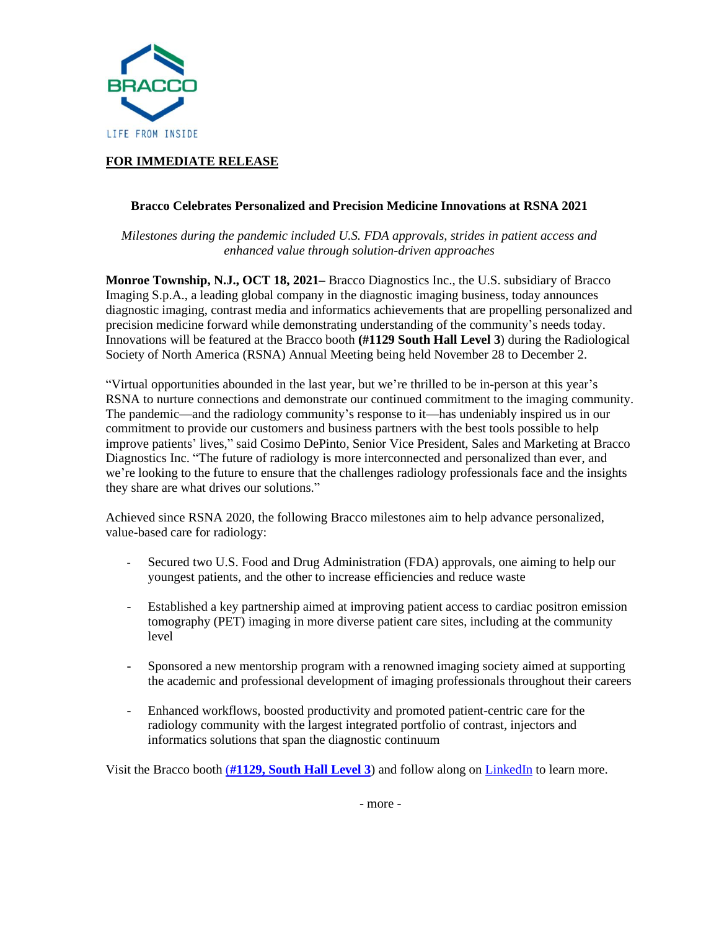

## **FOR IMMEDIATE RELEASE**

## **Bracco Celebrates Personalized and Precision Medicine Innovations at RSNA 2021**

*Milestones during the pandemic included U.S. FDA approvals, strides in patient access and enhanced value through solution-driven approaches*

**Monroe Township, N.J., OCT 18, 2021–** Bracco Diagnostics Inc., the U.S. subsidiary of Bracco Imaging S.p.A., a leading global company in the diagnostic imaging business, today announces diagnostic imaging, contrast media and informatics achievements that are propelling personalized and precision medicine forward while demonstrating understanding of the community's needs today. Innovations will be featured at the Bracco booth **(#1129 South Hall Level 3**) during the Radiological Society of North America (RSNA) Annual Meeting being held November 28 to December 2.

"Virtual opportunities abounded in the last year, but we're thrilled to be in-person at this year's RSNA to nurture connections and demonstrate our continued commitment to the imaging community. The pandemic—and the radiology community's response to it—has undeniably inspired us in our commitment to provide our customers and business partners with the best tools possible to help improve patients' lives," said Cosimo DePinto, Senior Vice President, Sales and Marketing at Bracco Diagnostics Inc. "The future of radiology is more interconnected and personalized than ever, and we're looking to the future to ensure that the challenges radiology professionals face and the insights they share are what drives our solutions."

Achieved since RSNA 2020, the following Bracco milestones aim to help advance personalized, value-based care for radiology:

- Secured two U.S. Food and Drug Administration (FDA) approvals, one aiming to help our youngest patients, and the other to increase efficiencies and reduce waste
- Established a key partnership aimed at improving patient access to cardiac positron emission tomography (PET) imaging in more diverse patient care sites, including at the community level
- Sponsored a new mentorship program with a renowned imaging society aimed at supporting the academic and professional development of imaging professionals throughout their careers
- Enhanced workflows, boosted productivity and promoted patient-centric care for the radiology community with the largest integrated portfolio of contrast, injectors and informatics solutions that span the diagnostic continuum

Visit the Bracco booth (**#1129, South [Hall Level 3](https://rsna2021.mapyourshow.com/8_0/exhibitor/exhibitor-details.cfm?exhid=00202163)**) and follow along on [LinkedIn](https://www.linkedin.com/showcase/bracco-imaging/) to learn more.